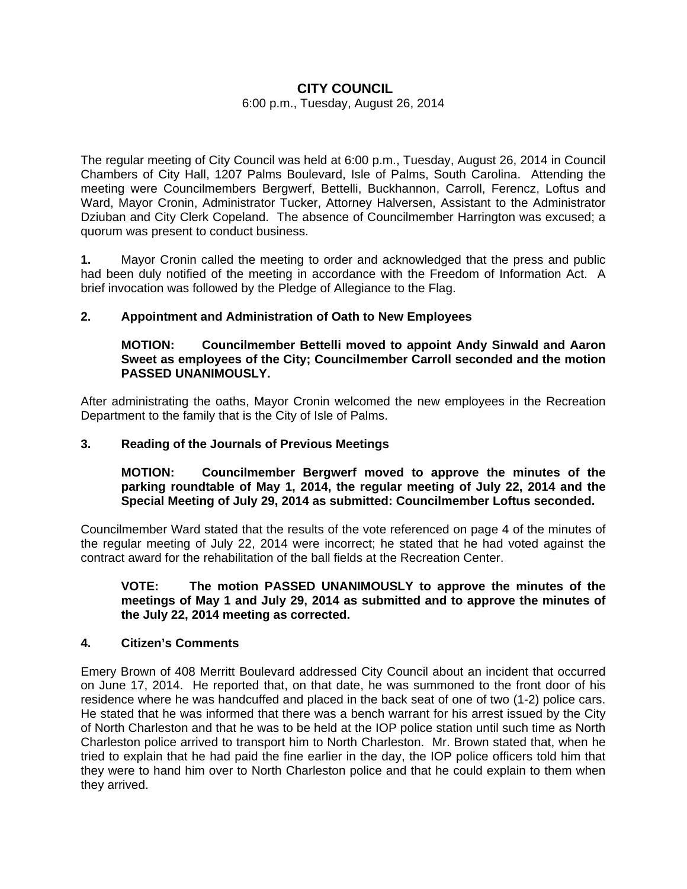# **CITY COUNCIL**

#### 6:00 p.m., Tuesday, August 26, 2014

The regular meeting of City Council was held at 6:00 p.m., Tuesday, August 26, 2014 in Council Chambers of City Hall, 1207 Palms Boulevard, Isle of Palms, South Carolina. Attending the meeting were Councilmembers Bergwerf, Bettelli, Buckhannon, Carroll, Ferencz, Loftus and Ward, Mayor Cronin, Administrator Tucker, Attorney Halversen, Assistant to the Administrator Dziuban and City Clerk Copeland. The absence of Councilmember Harrington was excused; a quorum was present to conduct business.

**1.** Mayor Cronin called the meeting to order and acknowledged that the press and public had been duly notified of the meeting in accordance with the Freedom of Information Act. A brief invocation was followed by the Pledge of Allegiance to the Flag.

### **2. Appointment and Administration of Oath to New Employees**

#### **MOTION: Councilmember Bettelli moved to appoint Andy Sinwald and Aaron Sweet as employees of the City; Councilmember Carroll seconded and the motion PASSED UNANIMOUSLY.**

After administrating the oaths, Mayor Cronin welcomed the new employees in the Recreation Department to the family that is the City of Isle of Palms.

### **3. Reading of the Journals of Previous Meetings**

### **MOTION: Councilmember Bergwerf moved to approve the minutes of the parking roundtable of May 1, 2014, the regular meeting of July 22, 2014 and the Special Meeting of July 29, 2014 as submitted: Councilmember Loftus seconded.**

Councilmember Ward stated that the results of the vote referenced on page 4 of the minutes of the regular meeting of July 22, 2014 were incorrect; he stated that he had voted against the contract award for the rehabilitation of the ball fields at the Recreation Center.

### **VOTE: The motion PASSED UNANIMOUSLY to approve the minutes of the meetings of May 1 and July 29, 2014 as submitted and to approve the minutes of the July 22, 2014 meeting as corrected.**

#### **4. Citizen's Comments**

Emery Brown of 408 Merritt Boulevard addressed City Council about an incident that occurred on June 17, 2014. He reported that, on that date, he was summoned to the front door of his residence where he was handcuffed and placed in the back seat of one of two (1-2) police cars. He stated that he was informed that there was a bench warrant for his arrest issued by the City of North Charleston and that he was to be held at the IOP police station until such time as North Charleston police arrived to transport him to North Charleston. Mr. Brown stated that, when he tried to explain that he had paid the fine earlier in the day, the IOP police officers told him that they were to hand him over to North Charleston police and that he could explain to them when they arrived.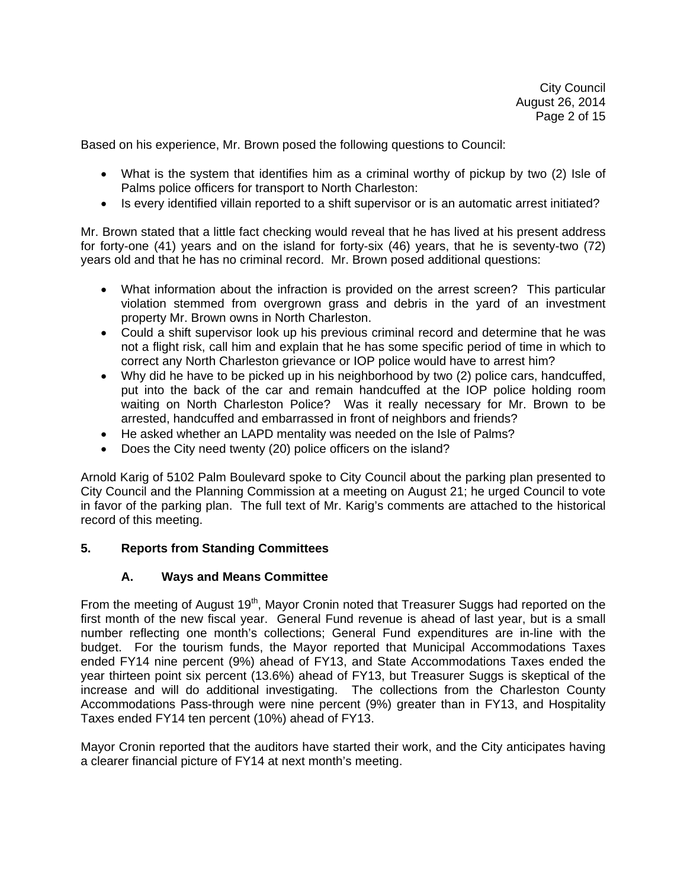Based on his experience, Mr. Brown posed the following questions to Council:

- What is the system that identifies him as a criminal worthy of pickup by two (2) Isle of Palms police officers for transport to North Charleston:
- Is every identified villain reported to a shift supervisor or is an automatic arrest initiated?

Mr. Brown stated that a little fact checking would reveal that he has lived at his present address for forty-one (41) years and on the island for forty-six (46) years, that he is seventy-two (72) years old and that he has no criminal record. Mr. Brown posed additional questions:

- What information about the infraction is provided on the arrest screen? This particular violation stemmed from overgrown grass and debris in the yard of an investment property Mr. Brown owns in North Charleston.
- Could a shift supervisor look up his previous criminal record and determine that he was not a flight risk, call him and explain that he has some specific period of time in which to correct any North Charleston grievance or IOP police would have to arrest him?
- Why did he have to be picked up in his neighborhood by two (2) police cars, handcuffed, put into the back of the car and remain handcuffed at the IOP police holding room waiting on North Charleston Police? Was it really necessary for Mr. Brown to be arrested, handcuffed and embarrassed in front of neighbors and friends?
- He asked whether an LAPD mentality was needed on the Isle of Palms?
- Does the City need twenty (20) police officers on the island?

Arnold Karig of 5102 Palm Boulevard spoke to City Council about the parking plan presented to City Council and the Planning Commission at a meeting on August 21; he urged Council to vote in favor of the parking plan. The full text of Mr. Karig's comments are attached to the historical record of this meeting.

### **5. Reports from Standing Committees**

### **A. Ways and Means Committee**

From the meeting of August 19<sup>th</sup>, Mayor Cronin noted that Treasurer Suggs had reported on the first month of the new fiscal year. General Fund revenue is ahead of last year, but is a small number reflecting one month's collections; General Fund expenditures are in-line with the budget. For the tourism funds, the Mayor reported that Municipal Accommodations Taxes ended FY14 nine percent (9%) ahead of FY13, and State Accommodations Taxes ended the year thirteen point six percent (13.6%) ahead of FY13, but Treasurer Suggs is skeptical of the increase and will do additional investigating. The collections from the Charleston County Accommodations Pass-through were nine percent (9%) greater than in FY13, and Hospitality Taxes ended FY14 ten percent (10%) ahead of FY13.

Mayor Cronin reported that the auditors have started their work, and the City anticipates having a clearer financial picture of FY14 at next month's meeting.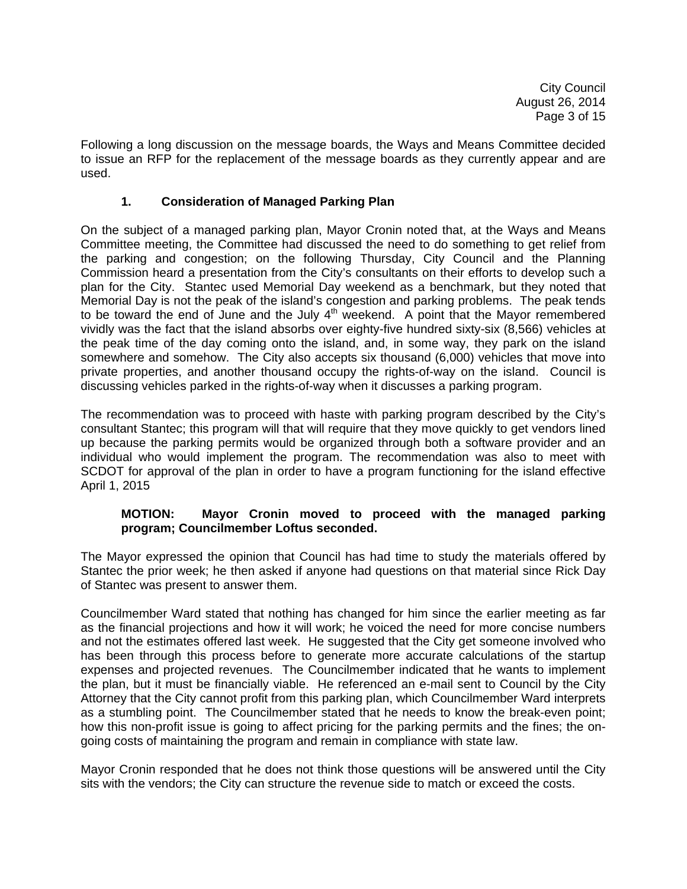Following a long discussion on the message boards, the Ways and Means Committee decided to issue an RFP for the replacement of the message boards as they currently appear and are used.

## **1. Consideration of Managed Parking Plan**

On the subject of a managed parking plan, Mayor Cronin noted that, at the Ways and Means Committee meeting, the Committee had discussed the need to do something to get relief from the parking and congestion; on the following Thursday, City Council and the Planning Commission heard a presentation from the City's consultants on their efforts to develop such a plan for the City. Stantec used Memorial Day weekend as a benchmark, but they noted that Memorial Day is not the peak of the island's congestion and parking problems. The peak tends to be toward the end of June and the July  $4<sup>th</sup>$  weekend. A point that the Mayor remembered vividly was the fact that the island absorbs over eighty-five hundred sixty-six (8,566) vehicles at the peak time of the day coming onto the island, and, in some way, they park on the island somewhere and somehow. The City also accepts six thousand (6,000) vehicles that move into private properties, and another thousand occupy the rights-of-way on the island. Council is discussing vehicles parked in the rights-of-way when it discusses a parking program.

The recommendation was to proceed with haste with parking program described by the City's consultant Stantec; this program will that will require that they move quickly to get vendors lined up because the parking permits would be organized through both a software provider and an individual who would implement the program. The recommendation was also to meet with SCDOT for approval of the plan in order to have a program functioning for the island effective April 1, 2015

### **MOTION: Mayor Cronin moved to proceed with the managed parking program; Councilmember Loftus seconded.**

The Mayor expressed the opinion that Council has had time to study the materials offered by Stantec the prior week; he then asked if anyone had questions on that material since Rick Day of Stantec was present to answer them.

Councilmember Ward stated that nothing has changed for him since the earlier meeting as far as the financial projections and how it will work; he voiced the need for more concise numbers and not the estimates offered last week. He suggested that the City get someone involved who has been through this process before to generate more accurate calculations of the startup expenses and projected revenues. The Councilmember indicated that he wants to implement the plan, but it must be financially viable. He referenced an e-mail sent to Council by the City Attorney that the City cannot profit from this parking plan, which Councilmember Ward interprets as a stumbling point. The Councilmember stated that he needs to know the break-even point; how this non-profit issue is going to affect pricing for the parking permits and the fines; the ongoing costs of maintaining the program and remain in compliance with state law.

Mayor Cronin responded that he does not think those questions will be answered until the City sits with the vendors; the City can structure the revenue side to match or exceed the costs.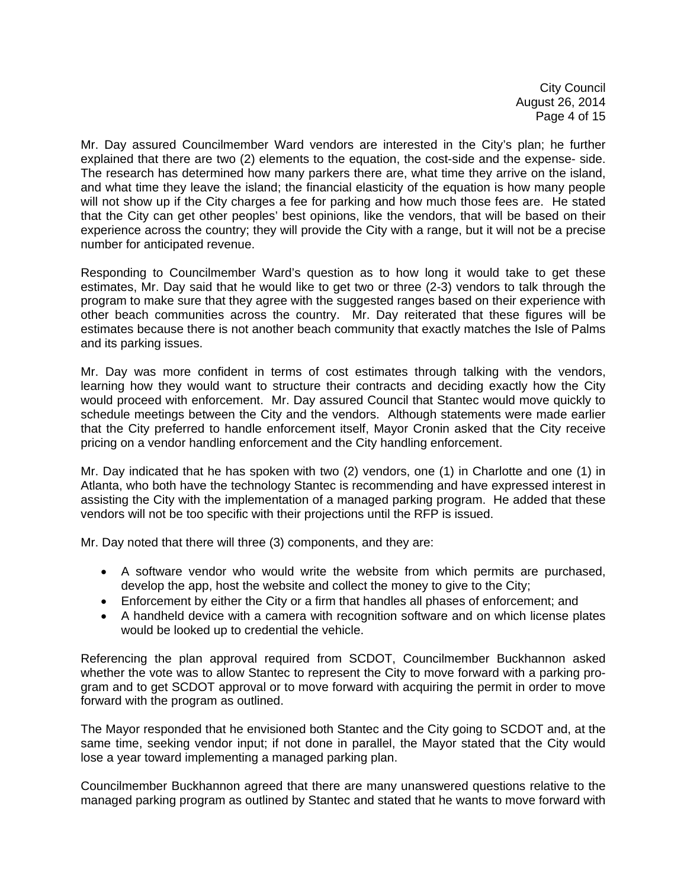City Council August 26, 2014 Page 4 of 15

Mr. Day assured Councilmember Ward vendors are interested in the City's plan; he further explained that there are two (2) elements to the equation, the cost-side and the expense- side. The research has determined how many parkers there are, what time they arrive on the island, and what time they leave the island; the financial elasticity of the equation is how many people will not show up if the City charges a fee for parking and how much those fees are. He stated that the City can get other peoples' best opinions, like the vendors, that will be based on their experience across the country; they will provide the City with a range, but it will not be a precise number for anticipated revenue.

Responding to Councilmember Ward's question as to how long it would take to get these estimates, Mr. Day said that he would like to get two or three (2-3) vendors to talk through the program to make sure that they agree with the suggested ranges based on their experience with other beach communities across the country. Mr. Day reiterated that these figures will be estimates because there is not another beach community that exactly matches the Isle of Palms and its parking issues.

Mr. Day was more confident in terms of cost estimates through talking with the vendors, learning how they would want to structure their contracts and deciding exactly how the City would proceed with enforcement. Mr. Day assured Council that Stantec would move quickly to schedule meetings between the City and the vendors. Although statements were made earlier that the City preferred to handle enforcement itself, Mayor Cronin asked that the City receive pricing on a vendor handling enforcement and the City handling enforcement.

Mr. Day indicated that he has spoken with two (2) vendors, one (1) in Charlotte and one (1) in Atlanta, who both have the technology Stantec is recommending and have expressed interest in assisting the City with the implementation of a managed parking program. He added that these vendors will not be too specific with their projections until the RFP is issued.

Mr. Day noted that there will three (3) components, and they are:

- A software vendor who would write the website from which permits are purchased, develop the app, host the website and collect the money to give to the City;
- Enforcement by either the City or a firm that handles all phases of enforcement; and
- A handheld device with a camera with recognition software and on which license plates would be looked up to credential the vehicle.

Referencing the plan approval required from SCDOT, Councilmember Buckhannon asked whether the vote was to allow Stantec to represent the City to move forward with a parking program and to get SCDOT approval or to move forward with acquiring the permit in order to move forward with the program as outlined.

The Mayor responded that he envisioned both Stantec and the City going to SCDOT and, at the same time, seeking vendor input; if not done in parallel, the Mayor stated that the City would lose a year toward implementing a managed parking plan.

Councilmember Buckhannon agreed that there are many unanswered questions relative to the managed parking program as outlined by Stantec and stated that he wants to move forward with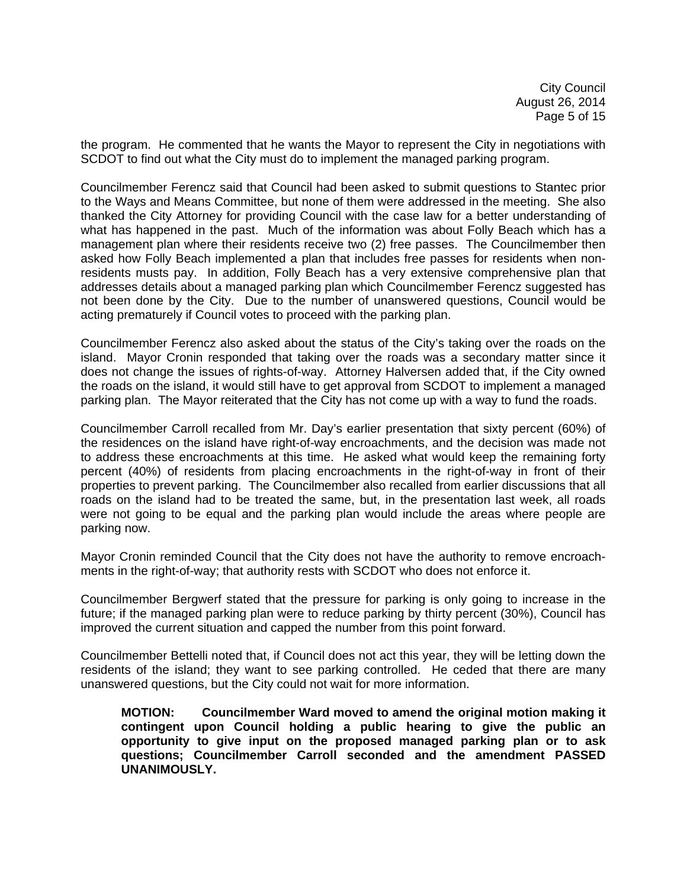City Council August 26, 2014 Page 5 of 15

the program. He commented that he wants the Mayor to represent the City in negotiations with SCDOT to find out what the City must do to implement the managed parking program.

Councilmember Ferencz said that Council had been asked to submit questions to Stantec prior to the Ways and Means Committee, but none of them were addressed in the meeting. She also thanked the City Attorney for providing Council with the case law for a better understanding of what has happened in the past. Much of the information was about Folly Beach which has a management plan where their residents receive two (2) free passes. The Councilmember then asked how Folly Beach implemented a plan that includes free passes for residents when nonresidents musts pay. In addition, Folly Beach has a very extensive comprehensive plan that addresses details about a managed parking plan which Councilmember Ferencz suggested has not been done by the City. Due to the number of unanswered questions, Council would be acting prematurely if Council votes to proceed with the parking plan.

Councilmember Ferencz also asked about the status of the City's taking over the roads on the island. Mayor Cronin responded that taking over the roads was a secondary matter since it does not change the issues of rights-of-way. Attorney Halversen added that, if the City owned the roads on the island, it would still have to get approval from SCDOT to implement a managed parking plan. The Mayor reiterated that the City has not come up with a way to fund the roads.

Councilmember Carroll recalled from Mr. Day's earlier presentation that sixty percent (60%) of the residences on the island have right-of-way encroachments, and the decision was made not to address these encroachments at this time. He asked what would keep the remaining forty percent (40%) of residents from placing encroachments in the right-of-way in front of their properties to prevent parking. The Councilmember also recalled from earlier discussions that all roads on the island had to be treated the same, but, in the presentation last week, all roads were not going to be equal and the parking plan would include the areas where people are parking now.

Mayor Cronin reminded Council that the City does not have the authority to remove encroachments in the right-of-way; that authority rests with SCDOT who does not enforce it.

Councilmember Bergwerf stated that the pressure for parking is only going to increase in the future; if the managed parking plan were to reduce parking by thirty percent (30%), Council has improved the current situation and capped the number from this point forward.

Councilmember Bettelli noted that, if Council does not act this year, they will be letting down the residents of the island; they want to see parking controlled. He ceded that there are many unanswered questions, but the City could not wait for more information.

**MOTION: Councilmember Ward moved to amend the original motion making it contingent upon Council holding a public hearing to give the public an opportunity to give input on the proposed managed parking plan or to ask questions; Councilmember Carroll seconded and the amendment PASSED UNANIMOUSLY.**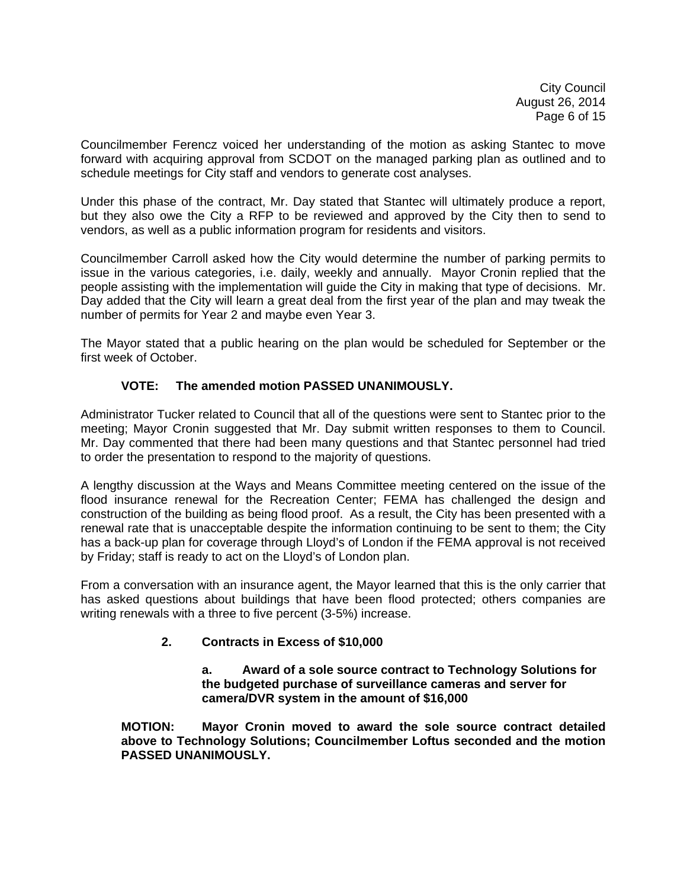City Council August 26, 2014 Page 6 of 15

Councilmember Ferencz voiced her understanding of the motion as asking Stantec to move forward with acquiring approval from SCDOT on the managed parking plan as outlined and to schedule meetings for City staff and vendors to generate cost analyses.

Under this phase of the contract, Mr. Day stated that Stantec will ultimately produce a report, but they also owe the City a RFP to be reviewed and approved by the City then to send to vendors, as well as a public information program for residents and visitors.

Councilmember Carroll asked how the City would determine the number of parking permits to issue in the various categories, i.e. daily, weekly and annually. Mayor Cronin replied that the people assisting with the implementation will guide the City in making that type of decisions. Mr. Day added that the City will learn a great deal from the first year of the plan and may tweak the number of permits for Year 2 and maybe even Year 3.

The Mayor stated that a public hearing on the plan would be scheduled for September or the first week of October.

# **VOTE: The amended motion PASSED UNANIMOUSLY.**

Administrator Tucker related to Council that all of the questions were sent to Stantec prior to the meeting; Mayor Cronin suggested that Mr. Day submit written responses to them to Council. Mr. Day commented that there had been many questions and that Stantec personnel had tried to order the presentation to respond to the majority of questions.

A lengthy discussion at the Ways and Means Committee meeting centered on the issue of the flood insurance renewal for the Recreation Center; FEMA has challenged the design and construction of the building as being flood proof. As a result, the City has been presented with a renewal rate that is unacceptable despite the information continuing to be sent to them; the City has a back-up plan for coverage through Lloyd's of London if the FEMA approval is not received by Friday; staff is ready to act on the Lloyd's of London plan.

From a conversation with an insurance agent, the Mayor learned that this is the only carrier that has asked questions about buildings that have been flood protected; others companies are writing renewals with a three to five percent (3-5%) increase.

# **2. Contracts in Excess of \$10,000**

 **a. Award of a sole source contract to Technology Solutions for the budgeted purchase of surveillance cameras and server for camera/DVR system in the amount of \$16,000** 

 **MOTION: Mayor Cronin moved to award the sole source contract detailed above to Technology Solutions; Councilmember Loftus seconded and the motion PASSED UNANIMOUSLY.**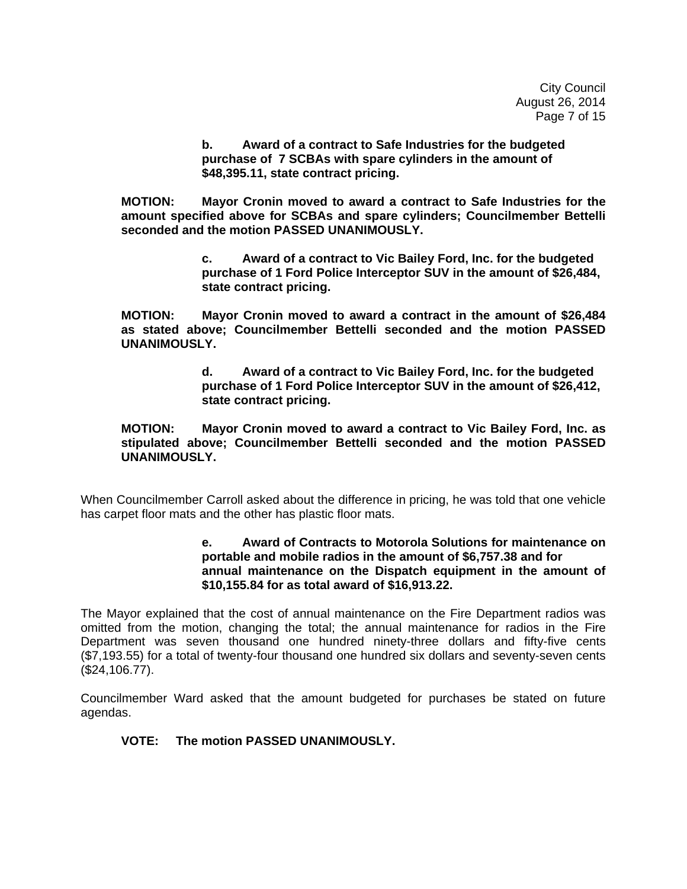City Council August 26, 2014 Page 7 of 15

 **b. Award of a contract to Safe Industries for the budgeted purchase of 7 SCBAs with spare cylinders in the amount of \$48,395.11, state contract pricing.** 

 **MOTION: Mayor Cronin moved to award a contract to Safe Industries for the amount specified above for SCBAs and spare cylinders; Councilmember Bettelli seconded and the motion PASSED UNANIMOUSLY.** 

> **c. Award of a contract to Vic Bailey Ford, Inc. for the budgeted purchase of 1 Ford Police Interceptor SUV in the amount of \$26,484, state contract pricing.**

 **MOTION: Mayor Cronin moved to award a contract in the amount of \$26,484 as stated above; Councilmember Bettelli seconded and the motion PASSED UNANIMOUSLY.** 

> **d. Award of a contract to Vic Bailey Ford, Inc. for the budgeted purchase of 1 Ford Police Interceptor SUV in the amount of \$26,412, state contract pricing.**

 **MOTION: Mayor Cronin moved to award a contract to Vic Bailey Ford, Inc. as stipulated above; Councilmember Bettelli seconded and the motion PASSED UNANIMOUSLY.** 

When Councilmember Carroll asked about the difference in pricing, he was told that one vehicle has carpet floor mats and the other has plastic floor mats.

### **e. Award of Contracts to Motorola Solutions for maintenance on portable and mobile radios in the amount of \$6,757.38 and for annual maintenance on the Dispatch equipment in the amount of \$10,155.84 for as total award of \$16,913.22.**

The Mayor explained that the cost of annual maintenance on the Fire Department radios was omitted from the motion, changing the total; the annual maintenance for radios in the Fire Department was seven thousand one hundred ninety-three dollars and fifty-five cents (\$7,193.55) for a total of twenty-four thousand one hundred six dollars and seventy-seven cents (\$24,106.77).

Councilmember Ward asked that the amount budgeted for purchases be stated on future agendas.

## **VOTE: The motion PASSED UNANIMOUSLY.**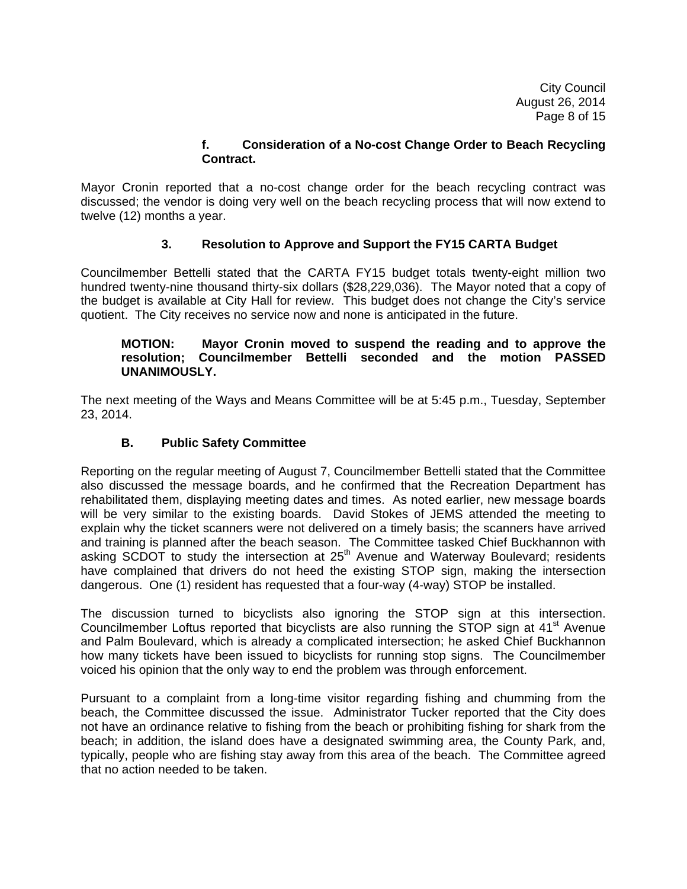City Council August 26, 2014 Page 8 of 15

### **f. Consideration of a No-cost Change Order to Beach Recycling Contract.**

Mayor Cronin reported that a no-cost change order for the beach recycling contract was discussed; the vendor is doing very well on the beach recycling process that will now extend to twelve (12) months a year.

# **3. Resolution to Approve and Support the FY15 CARTA Budget**

Councilmember Bettelli stated that the CARTA FY15 budget totals twenty-eight million two hundred twenty-nine thousand thirty-six dollars (\$28,229,036). The Mayor noted that a copy of the budget is available at City Hall for review. This budget does not change the City's service quotient. The City receives no service now and none is anticipated in the future.

### **MOTION: Mayor Cronin moved to suspend the reading and to approve the resolution; Councilmember Bettelli seconded and the motion PASSED UNANIMOUSLY.**

The next meeting of the Ways and Means Committee will be at 5:45 p.m., Tuesday, September 23, 2014.

## **B. Public Safety Committee**

Reporting on the regular meeting of August 7, Councilmember Bettelli stated that the Committee also discussed the message boards, and he confirmed that the Recreation Department has rehabilitated them, displaying meeting dates and times. As noted earlier, new message boards will be very similar to the existing boards. David Stokes of JEMS attended the meeting to explain why the ticket scanners were not delivered on a timely basis; the scanners have arrived and training is planned after the beach season. The Committee tasked Chief Buckhannon with asking  $SC$  $\overline{D}$  to study the intersection at  $25<sup>th</sup>$  Avenue and Waterway Boulevard; residents have complained that drivers do not heed the existing STOP sign, making the intersection dangerous. One (1) resident has requested that a four-way (4-way) STOP be installed.

The discussion turned to bicyclists also ignoring the STOP sign at this intersection. Councilmember Loftus reported that bicyclists are also running the STOP sign at 41<sup>st</sup> Avenue and Palm Boulevard, which is already a complicated intersection; he asked Chief Buckhannon how many tickets have been issued to bicyclists for running stop signs. The Councilmember voiced his opinion that the only way to end the problem was through enforcement.

Pursuant to a complaint from a long-time visitor regarding fishing and chumming from the beach, the Committee discussed the issue. Administrator Tucker reported that the City does not have an ordinance relative to fishing from the beach or prohibiting fishing for shark from the beach; in addition, the island does have a designated swimming area, the County Park, and, typically, people who are fishing stay away from this area of the beach. The Committee agreed that no action needed to be taken.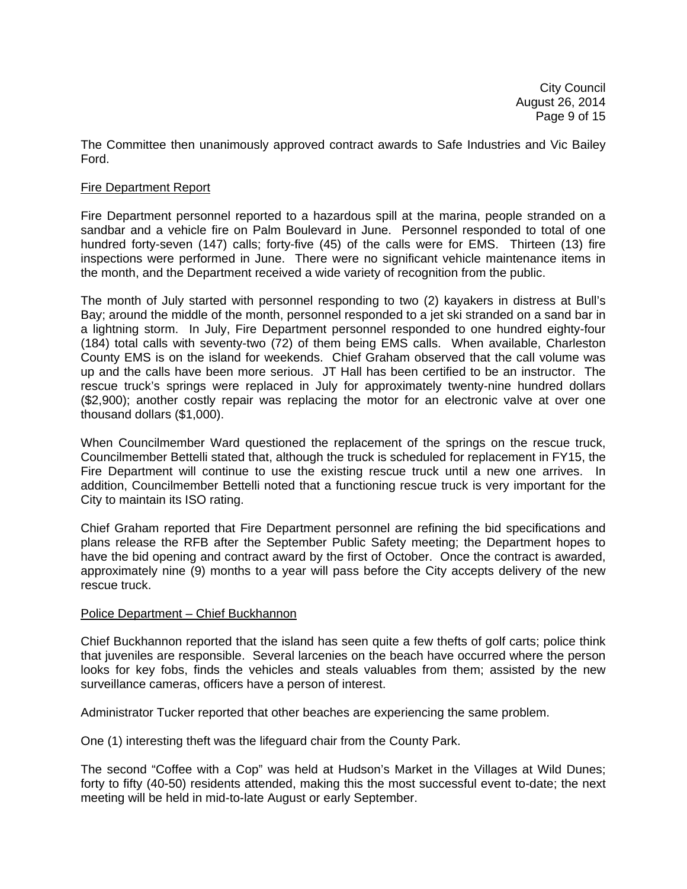The Committee then unanimously approved contract awards to Safe Industries and Vic Bailey Ford.

### Fire Department Report

Fire Department personnel reported to a hazardous spill at the marina, people stranded on a sandbar and a vehicle fire on Palm Boulevard in June. Personnel responded to total of one hundred forty-seven (147) calls; forty-five (45) of the calls were for EMS. Thirteen (13) fire inspections were performed in June. There were no significant vehicle maintenance items in the month, and the Department received a wide variety of recognition from the public.

The month of July started with personnel responding to two (2) kayakers in distress at Bull's Bay; around the middle of the month, personnel responded to a jet ski stranded on a sand bar in a lightning storm. In July, Fire Department personnel responded to one hundred eighty-four (184) total calls with seventy-two (72) of them being EMS calls. When available, Charleston County EMS is on the island for weekends. Chief Graham observed that the call volume was up and the calls have been more serious. JT Hall has been certified to be an instructor. The rescue truck's springs were replaced in July for approximately twenty-nine hundred dollars (\$2,900); another costly repair was replacing the motor for an electronic valve at over one thousand dollars (\$1,000).

When Councilmember Ward questioned the replacement of the springs on the rescue truck, Councilmember Bettelli stated that, although the truck is scheduled for replacement in FY15, the Fire Department will continue to use the existing rescue truck until a new one arrives. In addition, Councilmember Bettelli noted that a functioning rescue truck is very important for the City to maintain its ISO rating.

Chief Graham reported that Fire Department personnel are refining the bid specifications and plans release the RFB after the September Public Safety meeting; the Department hopes to have the bid opening and contract award by the first of October. Once the contract is awarded, approximately nine (9) months to a year will pass before the City accepts delivery of the new rescue truck.

#### Police Department – Chief Buckhannon

Chief Buckhannon reported that the island has seen quite a few thefts of golf carts; police think that juveniles are responsible. Several larcenies on the beach have occurred where the person looks for key fobs, finds the vehicles and steals valuables from them; assisted by the new surveillance cameras, officers have a person of interest.

Administrator Tucker reported that other beaches are experiencing the same problem.

One (1) interesting theft was the lifeguard chair from the County Park.

The second "Coffee with a Cop" was held at Hudson's Market in the Villages at Wild Dunes; forty to fifty (40-50) residents attended, making this the most successful event to-date; the next meeting will be held in mid-to-late August or early September.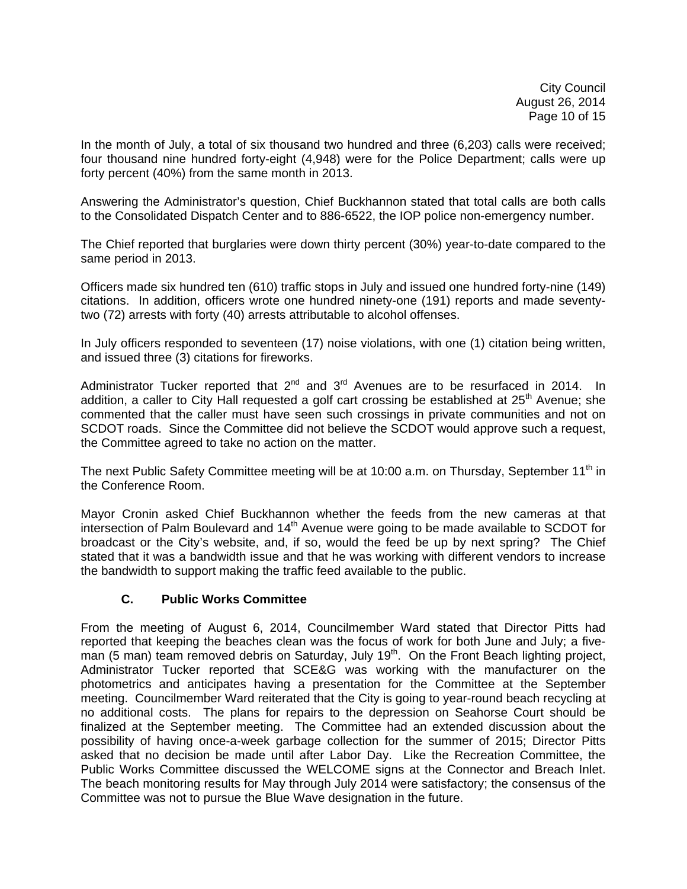City Council August 26, 2014 Page 10 of 15

In the month of July, a total of six thousand two hundred and three (6,203) calls were received; four thousand nine hundred forty-eight (4,948) were for the Police Department; calls were up forty percent (40%) from the same month in 2013.

Answering the Administrator's question, Chief Buckhannon stated that total calls are both calls to the Consolidated Dispatch Center and to 886-6522, the IOP police non-emergency number.

The Chief reported that burglaries were down thirty percent (30%) year-to-date compared to the same period in 2013.

Officers made six hundred ten (610) traffic stops in July and issued one hundred forty-nine (149) citations. In addition, officers wrote one hundred ninety-one (191) reports and made seventytwo (72) arrests with forty (40) arrests attributable to alcohol offenses.

In July officers responded to seventeen (17) noise violations, with one (1) citation being written, and issued three (3) citations for fireworks.

Administrator Tucker reported that  $2^{nd}$  and  $3^{rd}$  Avenues are to be resurfaced in 2014. In addition, a caller to City Hall requested a golf cart crossing be established at  $25<sup>th</sup>$  Avenue; she commented that the caller must have seen such crossings in private communities and not on SCDOT roads. Since the Committee did not believe the SCDOT would approve such a request, the Committee agreed to take no action on the matter.

The next Public Safety Committee meeting will be at 10:00 a.m. on Thursday, September 11<sup>th</sup> in the Conference Room.

Mayor Cronin asked Chief Buckhannon whether the feeds from the new cameras at that intersection of Palm Boulevard and 14<sup>th</sup> Avenue were going to be made available to SCDOT for broadcast or the City's website, and, if so, would the feed be up by next spring? The Chief stated that it was a bandwidth issue and that he was working with different vendors to increase the bandwidth to support making the traffic feed available to the public.

### **C. Public Works Committee**

From the meeting of August 6, 2014, Councilmember Ward stated that Director Pitts had reported that keeping the beaches clean was the focus of work for both June and July; a fiveman (5 man) team removed debris on Saturday, July  $19<sup>th</sup>$ . On the Front Beach lighting project, Administrator Tucker reported that SCE&G was working with the manufacturer on the photometrics and anticipates having a presentation for the Committee at the September meeting. Councilmember Ward reiterated that the City is going to year-round beach recycling at no additional costs. The plans for repairs to the depression on Seahorse Court should be finalized at the September meeting. The Committee had an extended discussion about the possibility of having once-a-week garbage collection for the summer of 2015; Director Pitts asked that no decision be made until after Labor Day. Like the Recreation Committee, the Public Works Committee discussed the WELCOME signs at the Connector and Breach Inlet. The beach monitoring results for May through July 2014 were satisfactory; the consensus of the Committee was not to pursue the Blue Wave designation in the future.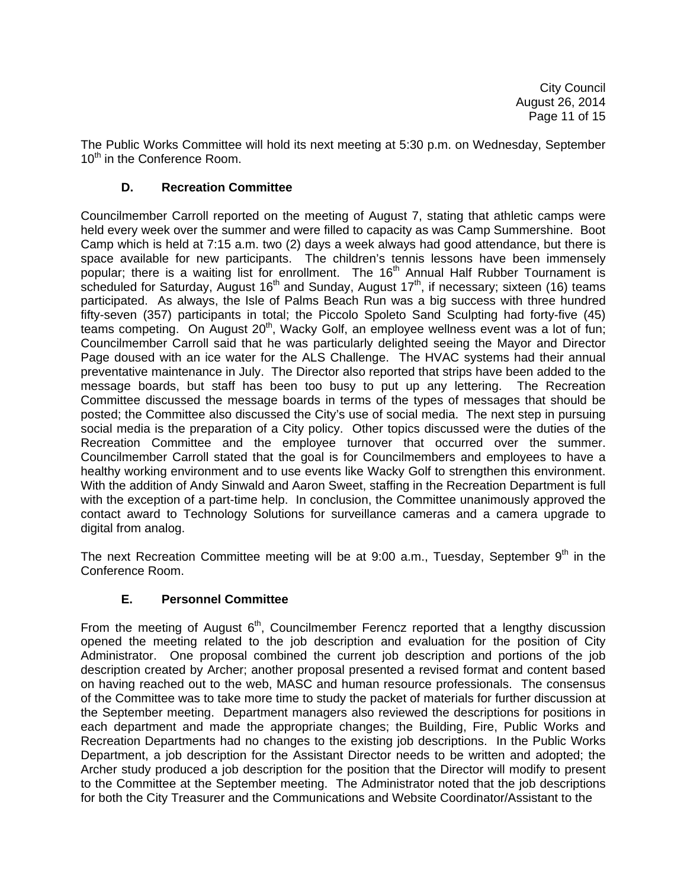City Council August 26, 2014 Page 11 of 15

The Public Works Committee will hold its next meeting at 5:30 p.m. on Wednesday, September 10<sup>th</sup> in the Conference Room.

### **D. Recreation Committee**

Councilmember Carroll reported on the meeting of August 7, stating that athletic camps were held every week over the summer and were filled to capacity as was Camp Summershine. Boot Camp which is held at 7:15 a.m. two (2) days a week always had good attendance, but there is space available for new participants. The children's tennis lessons have been immensely popular; there is a waiting list for enrollment. The 16<sup>th</sup> Annual Half Rubber Tournament is scheduled for Saturday, August 16<sup>th</sup> and Sunday, August 17<sup>th</sup>, if necessary; sixteen (16) teams participated. As always, the Isle of Palms Beach Run was a big success with three hundred fifty-seven (357) participants in total; the Piccolo Spoleto Sand Sculpting had forty-five (45) teams competing. On August  $20<sup>th</sup>$ , Wacky Golf, an employee wellness event was a lot of fun; Councilmember Carroll said that he was particularly delighted seeing the Mayor and Director Page doused with an ice water for the ALS Challenge. The HVAC systems had their annual preventative maintenance in July. The Director also reported that strips have been added to the message boards, but staff has been too busy to put up any lettering. The Recreation Committee discussed the message boards in terms of the types of messages that should be posted; the Committee also discussed the City's use of social media. The next step in pursuing social media is the preparation of a City policy. Other topics discussed were the duties of the Recreation Committee and the employee turnover that occurred over the summer. Councilmember Carroll stated that the goal is for Councilmembers and employees to have a healthy working environment and to use events like Wacky Golf to strengthen this environment. With the addition of Andy Sinwald and Aaron Sweet, staffing in the Recreation Department is full with the exception of a part-time help. In conclusion, the Committee unanimously approved the contact award to Technology Solutions for surveillance cameras and a camera upgrade to digital from analog.

The next Recreation Committee meeting will be at  $9:00$  a.m., Tuesday, September  $9<sup>th</sup>$  in the Conference Room.

# **E. Personnel Committee**

From the meeting of August  $6<sup>th</sup>$ , Councilmember Ferencz reported that a lengthy discussion opened the meeting related to the job description and evaluation for the position of City Administrator. One proposal combined the current job description and portions of the job description created by Archer; another proposal presented a revised format and content based on having reached out to the web, MASC and human resource professionals. The consensus of the Committee was to take more time to study the packet of materials for further discussion at the September meeting. Department managers also reviewed the descriptions for positions in each department and made the appropriate changes; the Building, Fire, Public Works and Recreation Departments had no changes to the existing job descriptions. In the Public Works Department, a job description for the Assistant Director needs to be written and adopted; the Archer study produced a job description for the position that the Director will modify to present to the Committee at the September meeting. The Administrator noted that the job descriptions for both the City Treasurer and the Communications and Website Coordinator/Assistant to the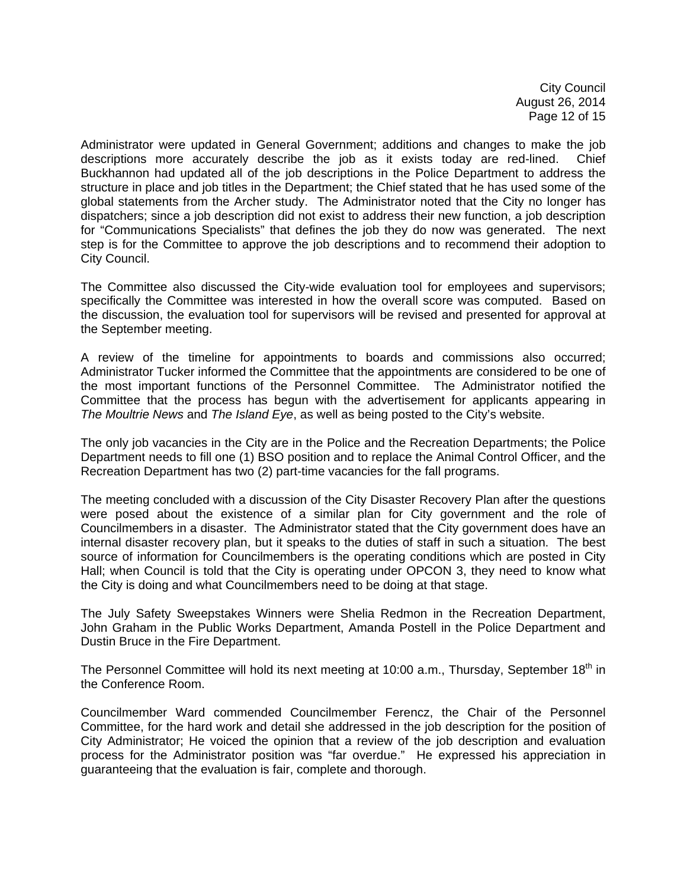City Council August 26, 2014 Page 12 of 15

Administrator were updated in General Government; additions and changes to make the job descriptions more accurately describe the job as it exists today are red-lined. Chief Buckhannon had updated all of the job descriptions in the Police Department to address the structure in place and job titles in the Department; the Chief stated that he has used some of the global statements from the Archer study. The Administrator noted that the City no longer has dispatchers; since a job description did not exist to address their new function, a job description for "Communications Specialists" that defines the job they do now was generated. The next step is for the Committee to approve the job descriptions and to recommend their adoption to City Council.

The Committee also discussed the City-wide evaluation tool for employees and supervisors; specifically the Committee was interested in how the overall score was computed. Based on the discussion, the evaluation tool for supervisors will be revised and presented for approval at the September meeting.

A review of the timeline for appointments to boards and commissions also occurred; Administrator Tucker informed the Committee that the appointments are considered to be one of the most important functions of the Personnel Committee. The Administrator notified the Committee that the process has begun with the advertisement for applicants appearing in *The Moultrie News* and *The Island Eye*, as well as being posted to the City's website.

The only job vacancies in the City are in the Police and the Recreation Departments; the Police Department needs to fill one (1) BSO position and to replace the Animal Control Officer, and the Recreation Department has two (2) part-time vacancies for the fall programs.

The meeting concluded with a discussion of the City Disaster Recovery Plan after the questions were posed about the existence of a similar plan for City government and the role of Councilmembers in a disaster. The Administrator stated that the City government does have an internal disaster recovery plan, but it speaks to the duties of staff in such a situation. The best source of information for Councilmembers is the operating conditions which are posted in City Hall; when Council is told that the City is operating under OPCON 3, they need to know what the City is doing and what Councilmembers need to be doing at that stage.

The July Safety Sweepstakes Winners were Shelia Redmon in the Recreation Department, John Graham in the Public Works Department, Amanda Postell in the Police Department and Dustin Bruce in the Fire Department.

The Personnel Committee will hold its next meeting at 10:00 a.m., Thursday, September 18<sup>th</sup> in the Conference Room.

Councilmember Ward commended Councilmember Ferencz, the Chair of the Personnel Committee, for the hard work and detail she addressed in the job description for the position of City Administrator; He voiced the opinion that a review of the job description and evaluation process for the Administrator position was "far overdue." He expressed his appreciation in guaranteeing that the evaluation is fair, complete and thorough.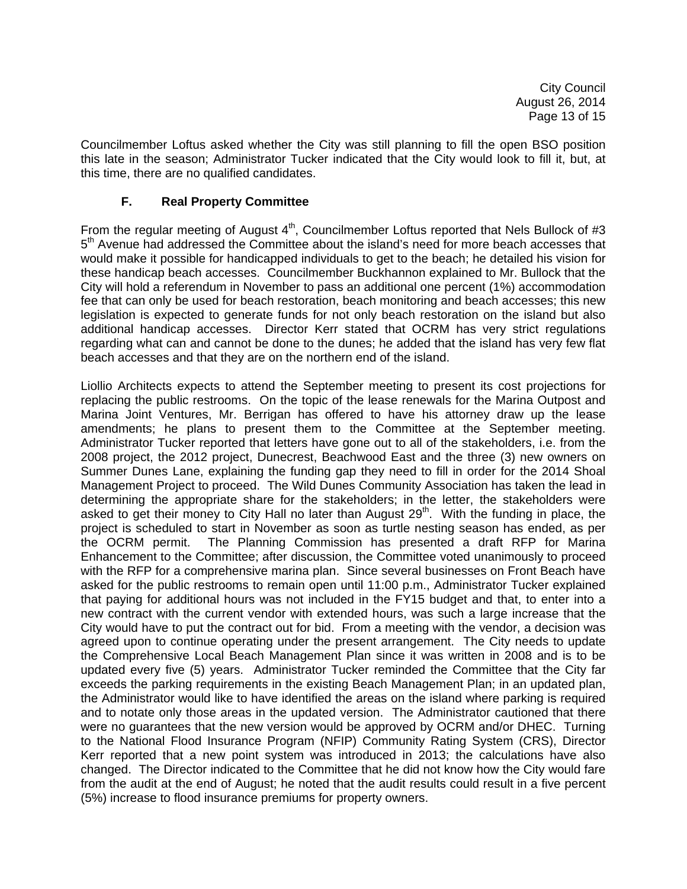Councilmember Loftus asked whether the City was still planning to fill the open BSO position this late in the season; Administrator Tucker indicated that the City would look to fill it, but, at this time, there are no qualified candidates.

## **F. Real Property Committee**

From the regular meeting of August  $4<sup>th</sup>$ , Councilmember Loftus reported that Nels Bullock of #3  $5<sup>th</sup>$  Avenue had addressed the Committee about the island's need for more beach accesses that would make it possible for handicapped individuals to get to the beach; he detailed his vision for these handicap beach accesses. Councilmember Buckhannon explained to Mr. Bullock that the City will hold a referendum in November to pass an additional one percent (1%) accommodation fee that can only be used for beach restoration, beach monitoring and beach accesses; this new legislation is expected to generate funds for not only beach restoration on the island but also additional handicap accesses. Director Kerr stated that OCRM has very strict regulations regarding what can and cannot be done to the dunes; he added that the island has very few flat beach accesses and that they are on the northern end of the island.

Liollio Architects expects to attend the September meeting to present its cost projections for replacing the public restrooms. On the topic of the lease renewals for the Marina Outpost and Marina Joint Ventures, Mr. Berrigan has offered to have his attorney draw up the lease amendments; he plans to present them to the Committee at the September meeting. Administrator Tucker reported that letters have gone out to all of the stakeholders, i.e. from the 2008 project, the 2012 project, Dunecrest, Beachwood East and the three (3) new owners on Summer Dunes Lane, explaining the funding gap they need to fill in order for the 2014 Shoal Management Project to proceed. The Wild Dunes Community Association has taken the lead in determining the appropriate share for the stakeholders; in the letter, the stakeholders were asked to get their money to City Hall no later than August  $29<sup>th</sup>$ . With the funding in place, the project is scheduled to start in November as soon as turtle nesting season has ended, as per the OCRM permit. The Planning Commission has presented a draft RFP for Marina Enhancement to the Committee; after discussion, the Committee voted unanimously to proceed with the RFP for a comprehensive marina plan. Since several businesses on Front Beach have asked for the public restrooms to remain open until 11:00 p.m., Administrator Tucker explained that paying for additional hours was not included in the FY15 budget and that, to enter into a new contract with the current vendor with extended hours, was such a large increase that the City would have to put the contract out for bid. From a meeting with the vendor, a decision was agreed upon to continue operating under the present arrangement. The City needs to update the Comprehensive Local Beach Management Plan since it was written in 2008 and is to be updated every five (5) years. Administrator Tucker reminded the Committee that the City far exceeds the parking requirements in the existing Beach Management Plan; in an updated plan, the Administrator would like to have identified the areas on the island where parking is required and to notate only those areas in the updated version. The Administrator cautioned that there were no guarantees that the new version would be approved by OCRM and/or DHEC. Turning to the National Flood Insurance Program (NFIP) Community Rating System (CRS), Director Kerr reported that a new point system was introduced in 2013; the calculations have also changed. The Director indicated to the Committee that he did not know how the City would fare from the audit at the end of August; he noted that the audit results could result in a five percent (5%) increase to flood insurance premiums for property owners.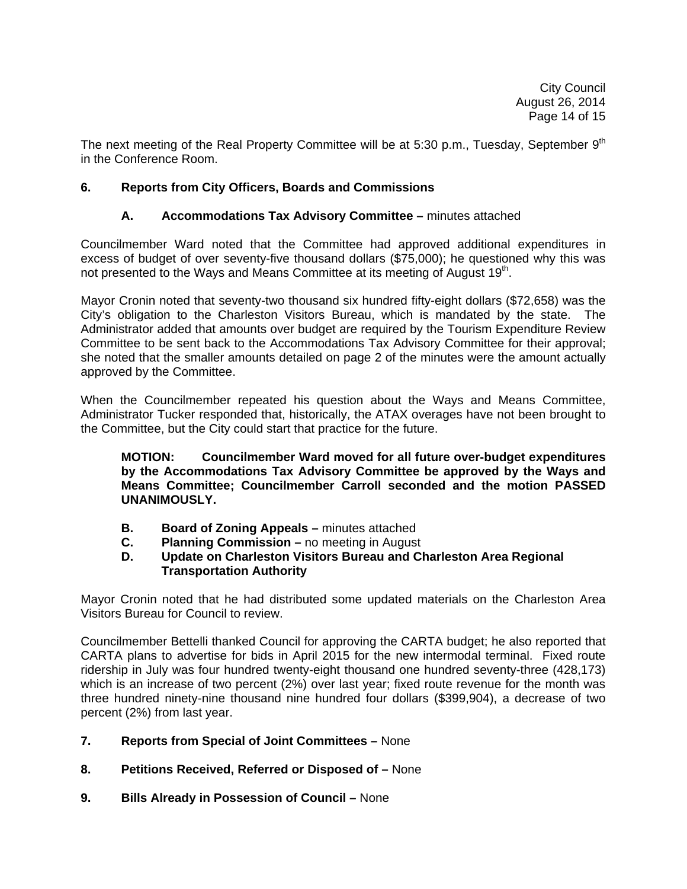The next meeting of the Real Property Committee will be at 5:30 p.m., Tuesday, September  $9<sup>th</sup>$ in the Conference Room.

### **6. Reports from City Officers, Boards and Commissions**

### **A. Accommodations Tax Advisory Committee –** minutes attached

Councilmember Ward noted that the Committee had approved additional expenditures in excess of budget of over seventy-five thousand dollars (\$75,000); he questioned why this was not presented to the Ways and Means Committee at its meeting of August 19<sup>th</sup>.

Mayor Cronin noted that seventy-two thousand six hundred fifty-eight dollars (\$72,658) was the City's obligation to the Charleston Visitors Bureau, which is mandated by the state. The Administrator added that amounts over budget are required by the Tourism Expenditure Review Committee to be sent back to the Accommodations Tax Advisory Committee for their approval; she noted that the smaller amounts detailed on page 2 of the minutes were the amount actually approved by the Committee.

When the Councilmember repeated his question about the Ways and Means Committee, Administrator Tucker responded that, historically, the ATAX overages have not been brought to the Committee, but the City could start that practice for the future.

**MOTION: Councilmember Ward moved for all future over-budget expenditures by the Accommodations Tax Advisory Committee be approved by the Ways and Means Committee; Councilmember Carroll seconded and the motion PASSED UNANIMOUSLY.** 

- **B.** Board of Zoning Appeals minutes attached
- **C.** Planning Commission no meeting in August<br>**D.** Update on Charleston Visitors Bureau and Cl

### **D. Update on Charleston Visitors Bureau and Charleston Area Regional Transportation Authority**

Mayor Cronin noted that he had distributed some updated materials on the Charleston Area Visitors Bureau for Council to review.

Councilmember Bettelli thanked Council for approving the CARTA budget; he also reported that CARTA plans to advertise for bids in April 2015 for the new intermodal terminal. Fixed route ridership in July was four hundred twenty-eight thousand one hundred seventy-three (428,173) which is an increase of two percent (2%) over last year; fixed route revenue for the month was three hundred ninety-nine thousand nine hundred four dollars (\$399,904), a decrease of two percent (2%) from last year.

- **7. Reports from Special of Joint Committees** None
- **8. Petitions Received, Referred or Disposed of** None
- **9. Bills Already in Possession of Council** None